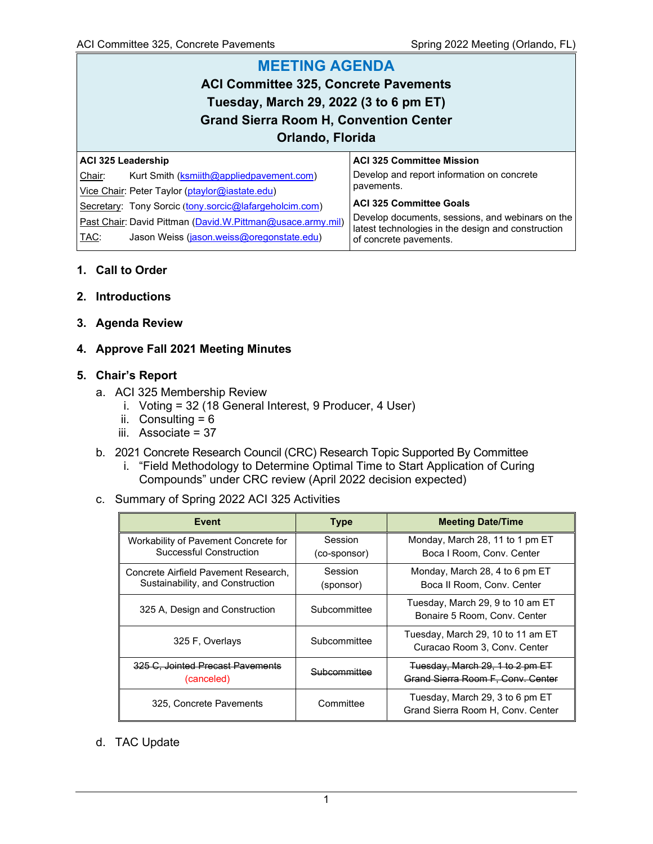# **MEETING AGENDA ACI Committee 325, Concrete Pavements Tuesday, March 29, 2022 (3 to 6 pm ET) Grand Sierra Room H, Convention Center Orlando, Florida**

| ACI 325 Leadership |                                                            | ACI 325 Committee Mission                                                    |  |  |  |  |
|--------------------|------------------------------------------------------------|------------------------------------------------------------------------------|--|--|--|--|
| Chair:             | Kurt Smith (ksmiith@appliedpavement.com)                   | Develop and report information on concrete                                   |  |  |  |  |
|                    | Vice Chair: Peter Taylor (ptaylor@iastate.edu)             | pavements.                                                                   |  |  |  |  |
|                    | Secretary: Tony Sorcic (tony.sorcic@lafargeholcim.com)     | ACI 325 Committee Goals                                                      |  |  |  |  |
|                    | Past Chair: David Pittman (David.W.Pittman@usace.army.mil) | Develop documents, sessions, and webinars on the                             |  |  |  |  |
| TAC:               | Jason Weiss (jason.weiss@oregonstate.edu)                  | latest technologies in the design and construction<br>of concrete pavements. |  |  |  |  |
|                    |                                                            |                                                                              |  |  |  |  |

# **1. Call to Order**

# **2. Introductions**

**3. Agenda Review**

# **4. Approve Fall 2021 Meeting Minutes**

# **5. Chair's Report**

- a. ACI 325 Membership Review
	- i. Voting = 32 (18 General Interest, 9 Producer, 4 User)
	- ii. Consulting  $= 6$
	- iii. Associate = 37
- b. 2021 Concrete Research Council (CRC) Research Topic Supported By Committee
	- i. "Field Methodology to Determine Optimal Time to Start Application of Curing Compounds" under CRC review (April 2022 decision expected)
- c. Summary of Spring 2022 ACI 325 Activities

| Event                                                                    | <b>Type</b>             | <b>Meeting Date/Time</b>                                             |
|--------------------------------------------------------------------------|-------------------------|----------------------------------------------------------------------|
| Workability of Pavement Concrete for<br>Successful Construction          | Session<br>(co-sponsor) | Monday, March 28, 11 to 1 pm ET<br>Boca I Room, Conv. Center         |
| Concrete Airfield Pavement Research,<br>Sustainability, and Construction | Session<br>(sponsor)    | Monday, March 28, 4 to 6 pm ET<br>Boca II Room, Conv. Center         |
| 325 A, Design and Construction                                           | Subcommittee            | Tuesday, March 29, 9 to 10 am ET<br>Bonaire 5 Room, Conv. Center     |
| 325 F. Overlays                                                          | Subcommittee            | Tuesday, March 29, 10 to 11 am ET<br>Curacao Room 3, Conv. Center    |
| 325 C. Jointed Precast Pavements<br>(canceled)                           | Subcommittee            | Tuesday, March 29, 1 to 2 pm ET<br>Grand Sierra Room F. Conv. Center |
| 325, Concrete Pavements                                                  | Committee               | Tuesday, March 29, 3 to 6 pm ET<br>Grand Sierra Room H, Conv. Center |

d. TAC Update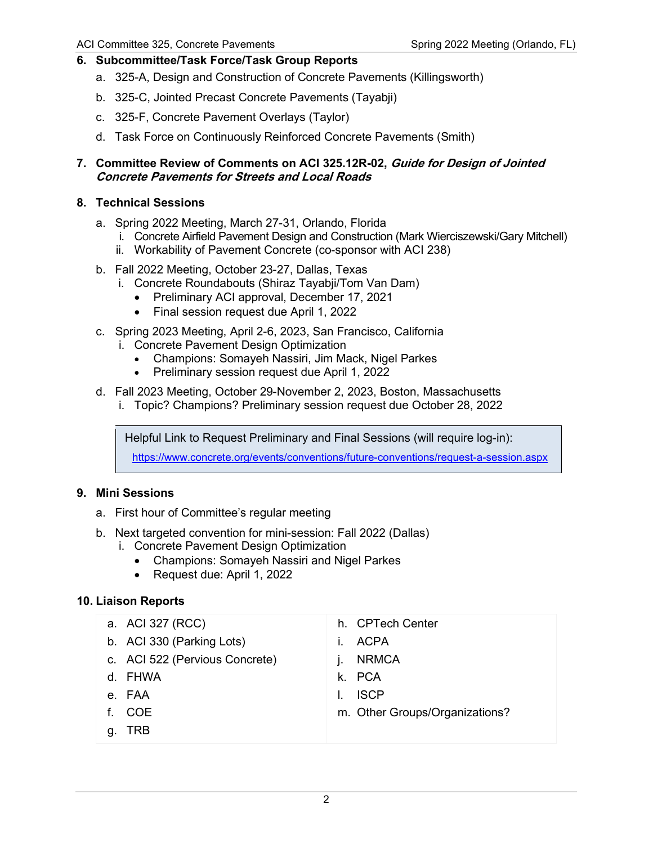# **6. Subcommittee/Task Force/Task Group Reports**

- a. 325-A, Design and Construction of Concrete Pavements (Killingsworth)
- b. 325-C, Jointed Precast Concrete Pavements (Tayabji)
- c. 325-F, Concrete Pavement Overlays (Taylor)
- d. Task Force on Continuously Reinforced Concrete Pavements (Smith)

#### **7. Committee Review of Comments on ACI 325.12R-02, Guide for Design of Jointed Concrete Pavements for Streets and Local Roads**

#### **8. Technical Sessions**

- a. Spring 2022 Meeting, March 27-31, Orlando, Florida
	- i. Concrete Airfield Pavement Design and Construction (Mark Wierciszewski/Gary Mitchell)
	- ii. Workability of Pavement Concrete (co-sponsor with ACI 238)
- b. Fall 2022 Meeting, October 23-27, Dallas, Texas
	- i. Concrete Roundabouts (Shiraz Tayabji/Tom Van Dam)
		- Preliminary ACI approval, December 17, 2021
		- Final session request due April 1, 2022
- c. Spring 2023 Meeting, April 2-6, 2023, San Francisco, California
	- i. Concrete Pavement Design Optimization
		- Champions: Somayeh Nassiri, Jim Mack, Nigel Parkes
		- Preliminary session request due April 1, 2022
- d. Fall 2023 Meeting, October 29-November 2, 2023, Boston, Massachusetts
	- i. Topic? Champions? Preliminary session request due October 28, 2022

Helpful Link to Request Preliminary and Final Sessions (will require log-in):

<https://www.concrete.org/events/conventions/future-conventions/request-a-session.aspx>

#### **9. Mini Sessions**

- a. First hour of Committee's regular meeting
- b. Next targeted convention for mini-session: Fall 2022 (Dallas)
	- i. Concrete Pavement Design Optimization
		- Champions: Somayeh Nassiri and Nigel Parkes
		- Request due: April 1, 2022

#### **10. Liaison Reports**

| a. ACI 327 (RCC)               | h. CPTech Center               |
|--------------------------------|--------------------------------|
| b. ACI 330 (Parking Lots)      | ACPA                           |
| c. ACI 522 (Pervious Concrete) | <b>NRMCA</b>                   |
| d. FHWA                        | k. PCA                         |
| e. FAA                         | <b>ISCP</b>                    |
| COE<br>f.                      | m. Other Groups/Organizations? |
| TRB<br>a                       |                                |